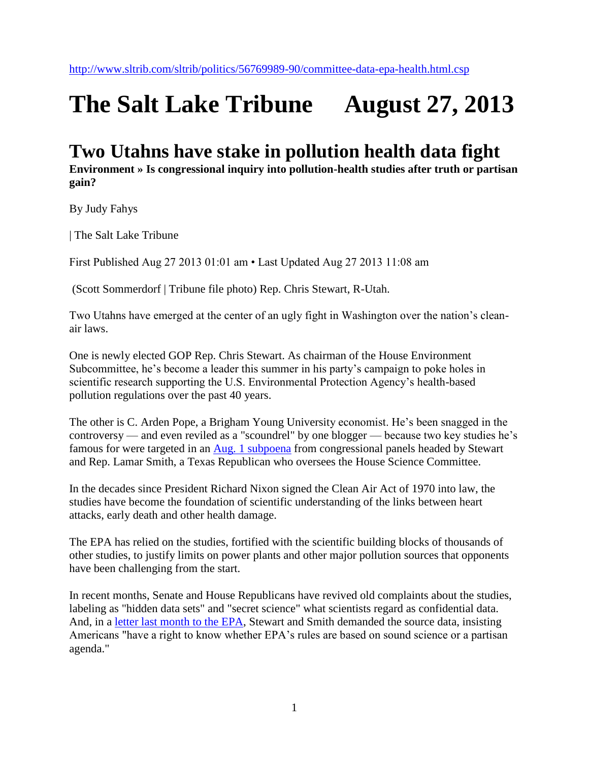## **The Salt Lake Tribune August 27, 2013**

## **Two Utahns have stake in pollution health data fight**

**Environment » Is congressional inquiry into pollution-health studies after truth or partisan gain?** 

By Judy Fahys

| The Salt Lake Tribune

First Published Aug 27 2013 01:01 am • Last Updated Aug 27 2013 11:08 am

(Scott Sommerdorf | Tribune file photo) Rep. Chris Stewart, R-Utah.

Two Utahns have emerged at the center of an ugly fight in Washington over the nation's cleanair laws.

One is newly elected GOP Rep. Chris Stewart. As chairman of the House Environment Subcommittee, he's become a leader this summer in his party's campaign to poke holes in scientific research supporting the U.S. Environmental Protection Agency's health-based pollution regulations over the past 40 years.

The other is C. Arden Pope, a Brigham Young University economist. He's been snagged in the controversy — and even reviled as a "scoundrel" by one blogger — because two key studies he's famous for were targeted in an [Aug. 1 subpoena](http://science.house.gov/sites/republicans.science.house.gov/files/documents/07-22-2013%20Smith%20and%20Stewart%20to%20McCarthy.pdf) from congressional panels headed by Stewart and Rep. Lamar Smith, a Texas Republican who oversees the House Science Committee.

In the decades since President Richard Nixon signed the Clean Air Act of 1970 into law, the studies have become the foundation of scientific understanding of the links between heart attacks, early death and other health damage.

The EPA has relied on the studies, fortified with the scientific building blocks of thousands of other studies, to justify limits on power plants and other major pollution sources that opponents have been challenging from the start.

In recent months, Senate and House Republicans have revived old complaints about the studies, labeling as "hidden data sets" and "secret science" what scientists regard as confidential data. And, in a [letter last month to the EPA,](http://science.house.gov/sites/republicans.science.house.gov/files/documents/07-22-2013%20Smith%20and%20Stewart%20to%20McCarthy.pdf) Stewart and Smith demanded the source data, insisting Americans "have a right to know whether EPA's rules are based on sound science or a partisan agenda."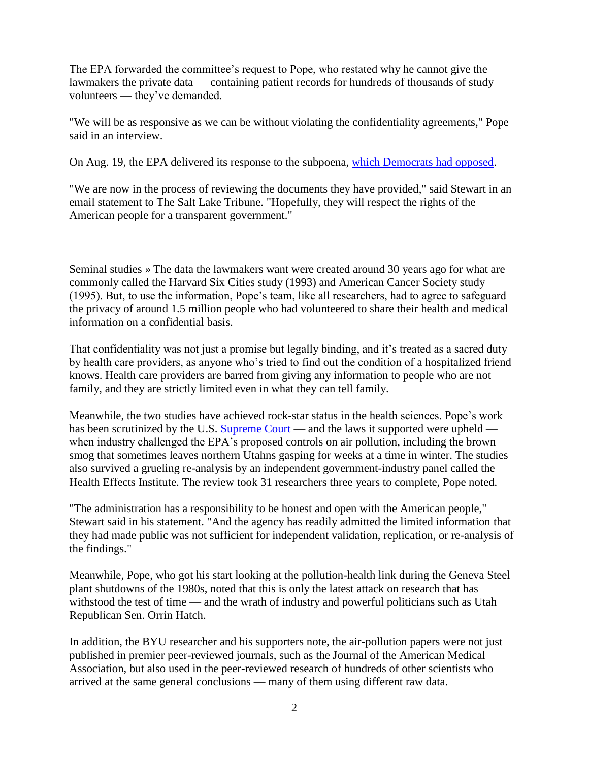The EPA forwarded the committee's request to Pope, who restated why he cannot give the lawmakers the private data — containing patient records for hundreds of thousands of study volunteers — they've demanded.

"We will be as responsive as we can be without violating the confidentiality agreements," Pope said in an interview.

On Aug. 19, the EPA delivered its response to the subpoena, [which Democrats had opposed.](http://www.scribd.com/doc/158542028/Eddie-Bernice-Johnson-s-Letter-to-Lamar-Smith)

"We are now in the process of reviewing the documents they have provided," said Stewart in an email statement to The Salt Lake Tribune. "Hopefully, they will respect the rights of the American people for a transparent government."

—

Seminal studies » The data the lawmakers want were created around 30 years ago for what are commonly called the Harvard Six Cities study (1993) and American Cancer Society study (1995). But, to use the information, Pope's team, like all researchers, had to agree to safeguard the privacy of around 1.5 million people who had volunteered to share their health and medical information on a confidential basis.

That confidentiality was not just a promise but legally binding, and it's treated as a sacred duty by health care providers, as anyone who's tried to find out the condition of a hospitalized friend knows. Health care providers are barred from giving any information to people who are not family, and they are strictly limited even in what they can tell family.

Meanwhile, the two studies have achieved rock-star status in the health sciences. Pope's work has been scrutinized by the U.S. [Supreme Court](http://www.epa.gov/ttn/naaqs/standards/ozone/data/2001_court_summary.pdf) — and the laws it supported were upheld when industry challenged the EPA's proposed controls on air pollution, including the brown smog that sometimes leaves northern Utahns gasping for weeks at a time in winter. The studies also survived a grueling re-analysis by an independent government-industry panel called the Health Effects Institute. The review took 31 researchers three years to complete, Pope noted.

"The administration has a responsibility to be honest and open with the American people," Stewart said in his statement. "And the agency has readily admitted the limited information that they had made public was not sufficient for independent validation, replication, or re-analysis of the findings."

Meanwhile, Pope, who got his start looking at the pollution-health link during the Geneva Steel plant shutdowns of the 1980s, noted that this is only the latest attack on research that has withstood the test of time — and the wrath of industry and powerful politicians such as Utah Republican Sen. Orrin Hatch.

In addition, the BYU researcher and his supporters note, the air-pollution papers were not just published in premier peer-reviewed journals, such as the Journal of the American Medical Association, but also used in the peer-reviewed research of hundreds of other scientists who arrived at the same general conclusions — many of them using different raw data.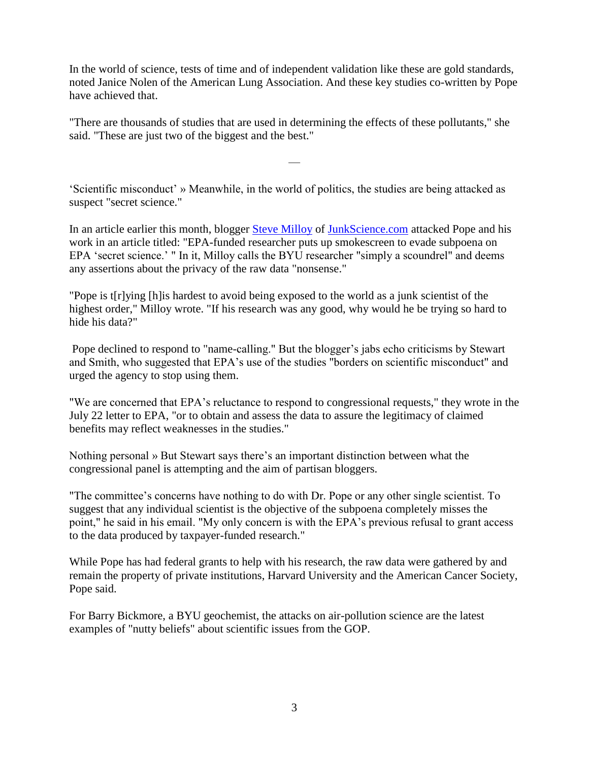In the world of science, tests of time and of independent validation like these are gold standards, noted Janice Nolen of the American Lung Association. And these key studies co-written by Pope have achieved that.

"There are thousands of studies that are used in determining the effects of these pollutants," she said. "These are just two of the biggest and the best."

—

'Scientific misconduct' » Meanwhile, in the world of politics, the studies are being attacked as suspect "secret science."

In an article earlier this month, blogger [Steve Milloy](http://junkscience.com/2013/08/03/epa-funded-researcher-puts-up-smokescreen-to-evade-subpoena-on-epa-secret-science/) of [JunkScience.com](http://junkscience.com/) attacked Pope and his work in an article titled: "EPA-funded researcher puts up smokescreen to evade subpoena on EPA 'secret science.' " In it, Milloy calls the BYU researcher "simply a scoundrel" and deems any assertions about the privacy of the raw data "nonsense."

"Pope is t[r]ying [h]is hardest to avoid being exposed to the world as a junk scientist of the highest order," Milloy wrote. "If his research was any good, why would he be trying so hard to hide his data?"

Pope declined to respond to "name-calling." But the blogger's jabs echo criticisms by Stewart and Smith, who suggested that EPA's use of the studies "borders on scientific misconduct" and urged the agency to stop using them.

"We are concerned that EPA's reluctance to respond to congressional requests," they wrote in the July 22 letter to EPA, "or to obtain and assess the data to assure the legitimacy of claimed benefits may reflect weaknesses in the studies."

Nothing personal » But Stewart says there's an important distinction between what the congressional panel is attempting and the aim of partisan bloggers.

"The committee's concerns have nothing to do with Dr. Pope or any other single scientist. To suggest that any individual scientist is the objective of the subpoena completely misses the point," he said in his email. "My only concern is with the EPA's previous refusal to grant access to the data produced by taxpayer-funded research."

While Pope has had federal grants to help with his research, the raw data were gathered by and remain the property of private institutions, Harvard University and the American Cancer Society, Pope said.

For Barry Bickmore, a BYU geochemist, the attacks on air-pollution science are the latest examples of "nutty beliefs" about scientific issues from the GOP.